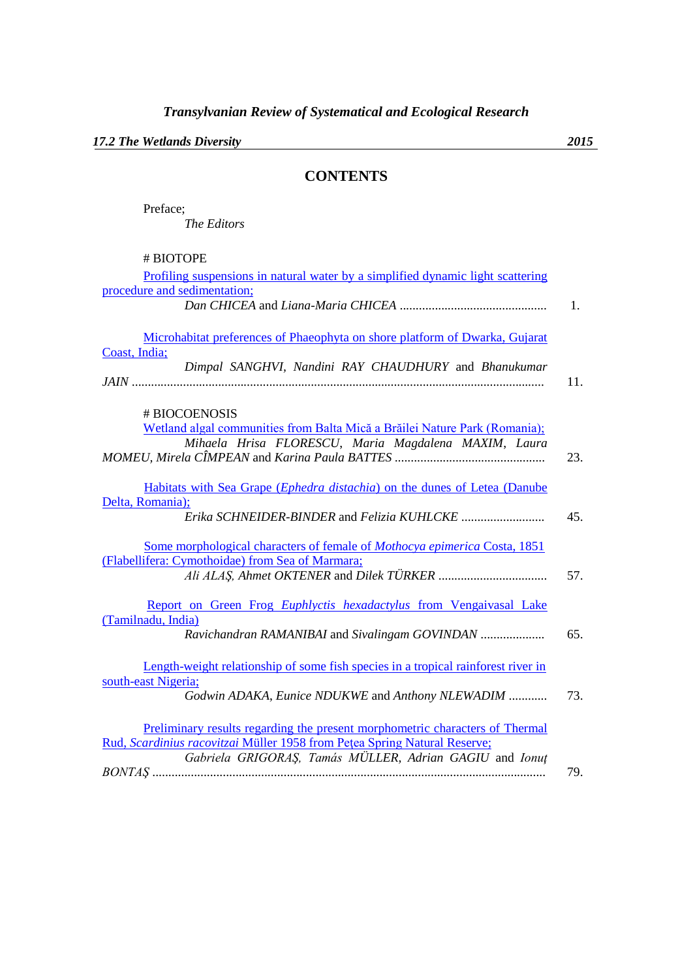*17.2 The Wetlands Diversity 2015*

## **CONTENTS**

Preface; *The Editors*

# BIOTOPE

| Profiling suspensions in natural water by a simplified dynamic light scattering    |     |
|------------------------------------------------------------------------------------|-----|
| procedure and sedimentation;                                                       |     |
|                                                                                    | 1.  |
|                                                                                    |     |
| Microhabitat preferences of Phaeophyta on shore platform of Dwarka, Gujarat        |     |
| Coast, India;                                                                      |     |
| Dimpal SANGHVI, Nandini RAY CHAUDHURY and Bhanukumar                               |     |
|                                                                                    | 11. |
|                                                                                    |     |
| # BIOCOENOSIS                                                                      |     |
| Wetland algal communities from Balta Mică a Brăilei Nature Park (Romania);         |     |
| Mihaela Hrisa FLORESCU, Maria Magdalena MAXIM, Laura                               |     |
|                                                                                    | 23. |
|                                                                                    |     |
| Habitats with Sea Grape ( <i>Ephedra distachia</i> ) on the dunes of Letea (Danube |     |
| Delta, Romania);                                                                   |     |
|                                                                                    | 45. |
|                                                                                    |     |
| Some morphological characters of female of Mothocya epimerica Costa, 1851          |     |
| (Flabellifera: Cymothoidae) from Sea of Marmara;                                   |     |
|                                                                                    | 57. |
|                                                                                    |     |
| Report on Green Frog Euphlyctis hexadactylus from Vengaivasal Lake                 |     |
| (Tamilnadu, India)                                                                 |     |
| Ravichandran RAMANIBAI and Sivalingam GOVINDAN                                     | 65. |
|                                                                                    |     |
| Length-weight relationship of some fish species in a tropical rainforest river in  |     |
| south-east Nigeria;                                                                |     |
| Godwin ADAKA, Eunice NDUKWE and Anthony NLEWADIM                                   | 73. |
|                                                                                    |     |
|                                                                                    |     |
| Preliminary results regarding the present morphometric characters of Thermal       |     |
| Rud, Scardinius racovitzai Müller 1958 from Petea Spring Natural Reserve;          |     |
| Gabriela GRIGORAȘ, Tamás MÜLLER, Adrian GAGIU and Ionuț                            |     |
|                                                                                    | 79. |